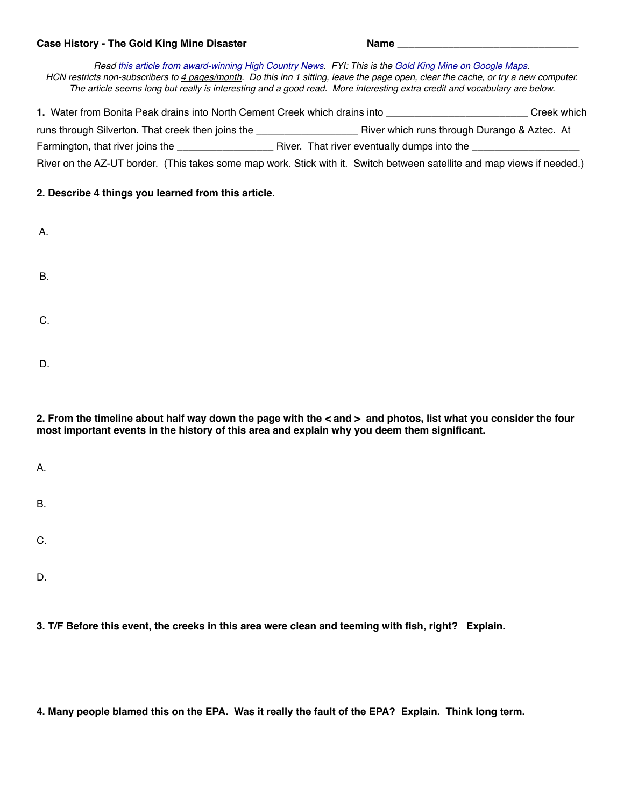## Case History - The Gold King Mine Disaster **Name Name Name**

*Read [this article from award-winning High Country News.](https://www.hcn.org/issues/48.7/silvertons-gold-king-reckoning) FYI: This is the [Gold King Mine on Google Maps.](https://www.google.com/maps/place/Bonita+Peak/@37.894468,-107.6404979,712m/data=!3m1!1e3!4m5!3m4!1s0x873ee0d51b211c53:0xebb08c34ef9b03a0!8m2!3d37.8969402!4d-107.623949) HCN restricts non-subscribers to 4 pages/month. Do this inn 1 sitting, leave the page open, clear the cache, or try a new computer. The article seems long but really is interesting and a good read. More interesting extra credit and vocabulary are below.* 

| 1. Water from Bonita Peak drains into North Cement Creek which drains into |                                                                                                                         | Creek which |
|----------------------------------------------------------------------------|-------------------------------------------------------------------------------------------------------------------------|-------------|
| runs through Silverton. That creek then joins the                          | River which runs through Durango & Aztec. At                                                                            |             |
| Farmington, that river joins the                                           | River. That river eventually dumps into the                                                                             |             |
|                                                                            | River on the AZ-UT border. (This takes some map work. Stick with it. Switch between satellite and map views if needed.) |             |

## **2. Describe 4 things you learned from this article.**

| Α.        |  |  |  |
|-----------|--|--|--|
| <b>B.</b> |  |  |  |
| C.        |  |  |  |
| D.        |  |  |  |

**2. From the timeline about half way down the page with the < and > and photos, list what you consider the four most important events in the history of this area and explain why you deem them significant.** 

| А.        |  |  |  |
|-----------|--|--|--|
| <b>B.</b> |  |  |  |
| C.        |  |  |  |
| D.        |  |  |  |

**3. T/F Before this event, the creeks in this area were clean and teeming with fish, right? Explain.**

**4. Many people blamed this on the EPA. Was it really the fault of the EPA? Explain. Think long term.**